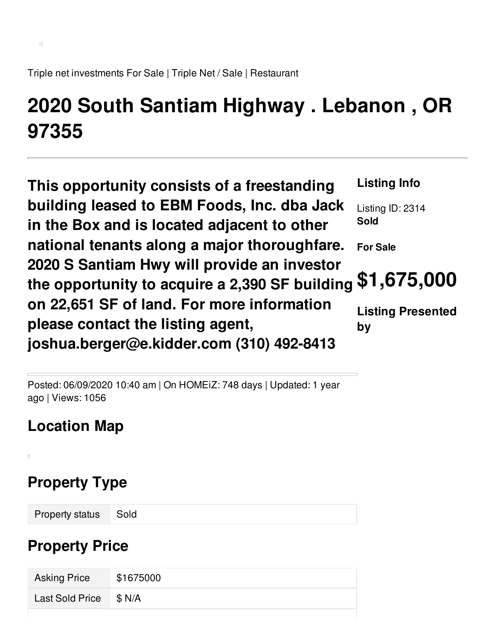Triple net investments For Sale | Triple Net / Sale | Restaurant

# **2020 South Santiam Highway . Lebanon , OR 97355**

**This opportunity consists of a freestanding building leased to EBM Foods, Inc. dba Jack in the Box and is located adjacent to other national tenants along a major thoroughfare. 2020 S Santiam Hwy will provide an investor the opportunity to acquire a 2,390 SF building on 22,651 SF of land. For more information please contact the listing agent, joshua.berger@e.kidder.com (310) 492-8413 Listing Info** Listing ID: 2314 **Sold For Sale \$1,675,000 Listing Presented by**

Posted: 06/09/2020 10:40 am | On HOMEiZ: 748 days | Updated: 1 year ago | Views: 1056

## **Location Map**

 $\Box$ 

# **Property Type**

Property status Sold

## **Property Price**

| <b>Asking Price</b>    | \$1675000 |
|------------------------|-----------|
| Last Sold Price \$ N/A |           |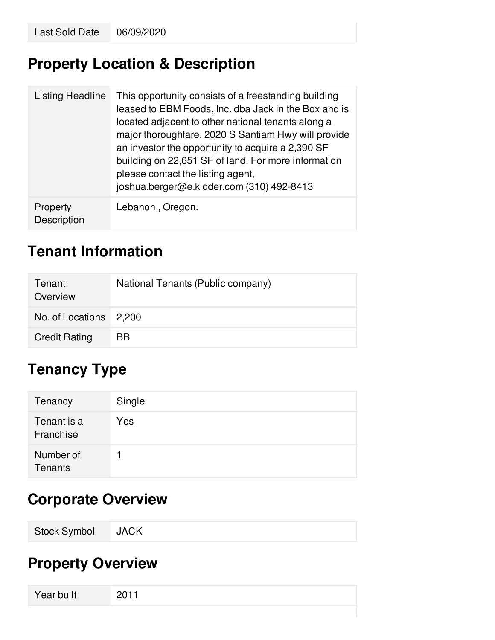## **Property Location & Description**

| Listing Headline        | This opportunity consists of a freestanding building<br>leased to EBM Foods, Inc. dba Jack in the Box and is<br>located adjacent to other national tenants along a<br>major thoroughfare. 2020 S Santiam Hwy will provide<br>an investor the opportunity to acquire a 2,390 SF<br>building on 22,651 SF of land. For more information<br>please contact the listing agent,<br>joshua.berger@e.kidder.com (310) 492-8413 |
|-------------------------|-------------------------------------------------------------------------------------------------------------------------------------------------------------------------------------------------------------------------------------------------------------------------------------------------------------------------------------------------------------------------------------------------------------------------|
| Property<br>Description | Lebanon, Oregon.                                                                                                                                                                                                                                                                                                                                                                                                        |

## **Tenant Information**

| Tenant<br>Overview     | National Tenants (Public company) |
|------------------------|-----------------------------------|
| No. of Locations 2,200 |                                   |
| <b>Credit Rating</b>   | BB                                |

# **Tenancy Type**

| Tenancy                  | Single |
|--------------------------|--------|
| Tenant is a<br>Franchise | Yes    |
| Number of<br>Tenants     |        |

#### **Corporate Overview**

| <b>Stock Symbol</b> | <b>JACK</b> |  |  |  |  |
|---------------------|-------------|--|--|--|--|
|---------------------|-------------|--|--|--|--|

# **Property Overview**

| Year built |  |
|------------|--|
|            |  |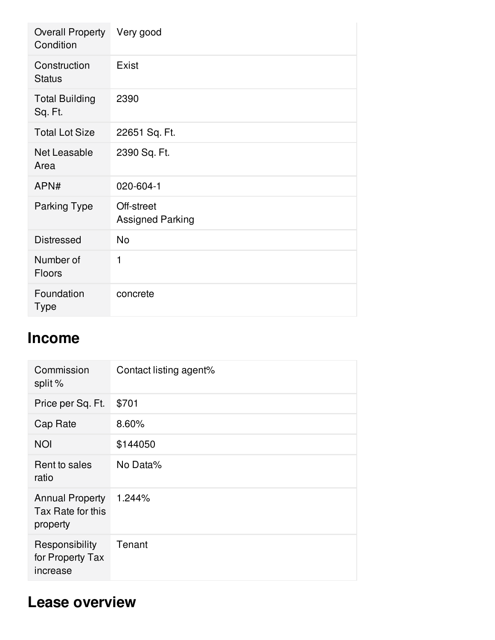| <b>Overall Property</b><br>Condition | Very good                             |
|--------------------------------------|---------------------------------------|
| Construction<br><b>Status</b>        | Exist                                 |
| <b>Total Building</b><br>Sq. Ft.     | 2390                                  |
| <b>Total Lot Size</b>                | 22651 Sq. Ft.                         |
| Net Leasable<br>Area                 | 2390 Sq. Ft.                          |
| APN#                                 | 020-604-1                             |
| <b>Parking Type</b>                  | Off-street<br><b>Assigned Parking</b> |
| <b>Distressed</b>                    | <b>No</b>                             |
| Number of<br><b>Floors</b>           | 1                                     |
| Foundation<br><b>Type</b>            | concrete                              |

#### **Income**

| Commission<br>split %                                   | Contact listing agent% |
|---------------------------------------------------------|------------------------|
| Price per Sq. Ft.                                       | \$701                  |
| Cap Rate                                                | 8.60%                  |
| <b>NOI</b>                                              | \$144050               |
| Rent to sales<br>ratio                                  | No Data%               |
| <b>Annual Property</b><br>Tax Rate for this<br>property | 1.244%                 |
| Responsibility<br>for Property Tax<br>increase          | Tenant                 |

### **Lease overview**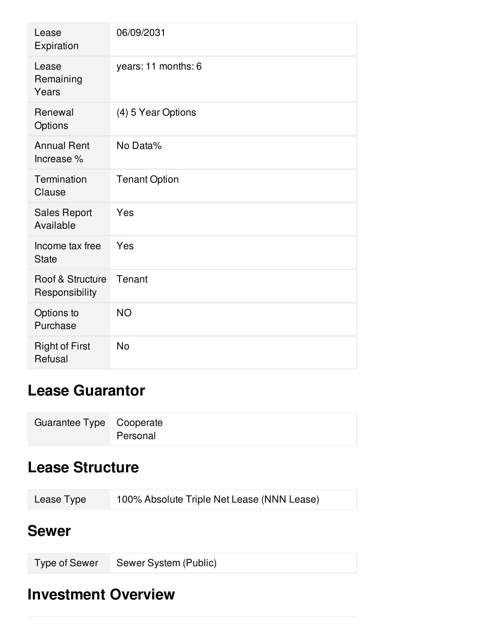| Lease<br>Expiration                | 06/09/2031           |
|------------------------------------|----------------------|
| Lease<br>Remaining<br>Years        | years: 11 months: 6  |
| Renewal<br>Options                 | (4) 5 Year Options   |
| <b>Annual Rent</b><br>Increase %   | No Data%             |
| Termination<br>Clause              | <b>Tenant Option</b> |
| <b>Sales Report</b><br>Available   | Yes                  |
| Income tax free<br><b>State</b>    | Yes                  |
| Roof & Structure<br>Responsibility | Tenant               |
| Options to<br>Purchase             | <b>NO</b>            |
| <b>Right of First</b><br>Refusal   | <b>No</b>            |

# **Lease Guarantor**

| Guarantee Type Cooperate |          |
|--------------------------|----------|
|                          | Personal |

## **Lease Structure**

| Lease Type | 100% Absolute Triple Net Lease (NNN Lease) |
|------------|--------------------------------------------|
|------------|--------------------------------------------|

#### **Sewer**

| Type of Sewer Sewer System (Public) |  |
|-------------------------------------|--|

### **Investment Overview**